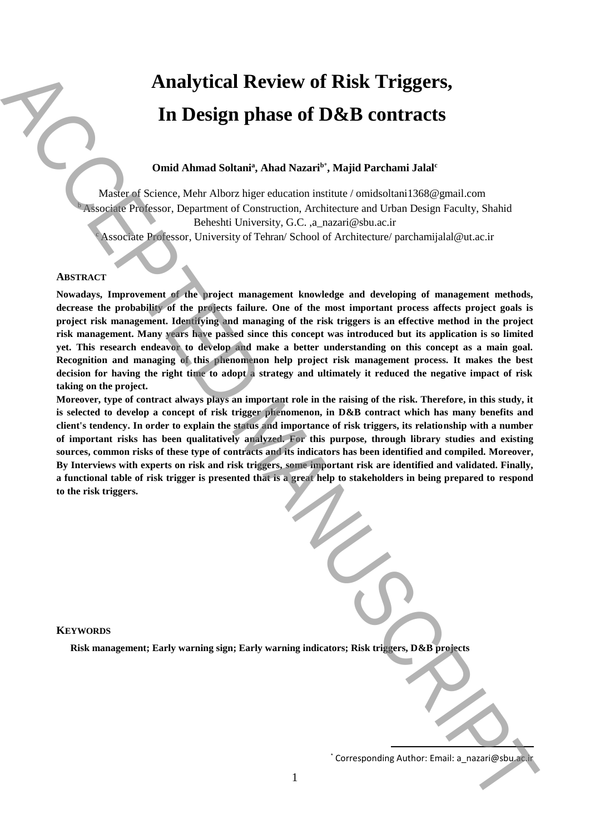# **Analytical Review of Risk Triggers, In Design phase of D&B contracts**

# **Omid Ahmad Soltani<sup>a</sup> , Ahad Nazari<sup>b</sup>**\* **, Majid Parchami Jalal<sup>c</sup>**

Master of Science, Mehr Alborz higer education institute / omidsoltani1368@gmail.com <sup>b</sup>Associate Professor, Department of Construction, Architecture and Urban Design Faculty, Shahid Beheshti University, G.C. ,a\_nazari@sbu.ac.ir Associate Professor, University of Tehran/ School of Architecture/ parchamijalal@ut.ac.ir

## **ABSTRACT**

**Nowadays, Improvement of the project management knowledge and developing of management methods,**  decrease the probability of the projects failure. One of the most important process affects project goals is **project risk management. Identifying and managing of the risk triggers is an effective method in the project risk management. Many years have passed since this concept was introduced but its application is so limited yet. This research endeavor to develop and make a better understanding on this concept as a main goal. Recognition and managing of this phenomenon help project risk management process. It makes the best decision for having the right time to adopt a strategy and ultimately it reduced the negative impact of risk taking on the project.** Analytical Review of Risk Triggers,<br>
In Design phase of D&B contracts<br>
out Anaad Satual<sup>2</sup>. Analytical Revise of D&B contracts and the corresponding Author:<br>
Saturation and Contracts and Contracts and Contracts and Contra

**Moreover, type of contract always plays an important role in the raising of the risk. Therefore, in this study, it is selected to develop a concept of risk trigger phenomenon, in D&B contract which has many benefits and client's tendency. In order to explain the status and importance of risk triggers, its relationship with a number of important risks has been qualitatively analyzed. For this purpose, through library studies and existing sources, common risks of these type of contracts and its indicators has been identified and compiled. Moreover, By Interviews with experts on risk and risk triggers, some important risk are identified and validated. Finally, a functional table of risk trigger is presented that is a great help to stakeholders in being prepared to respond to the risk triggers.**

#### **KEYWORDS**

**Risk management; Early warning sign; Early warning indicators; Risk triggers, D&B projects**

**.**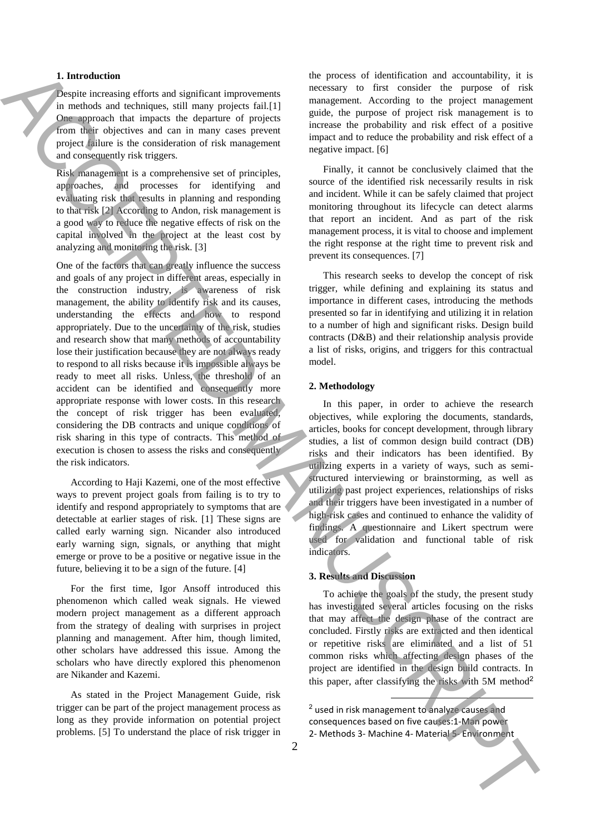### **1. Introduction**

Despite increasing efforts and significant improvements in methods and techniques, still many projects fail.[1] One approach that impacts the departure of projects from their objectives and can in many cases prevent project failure is the consideration of risk management and consequently risk triggers.

Risk management is a comprehensive set of principles, approaches, and processes for identifying and evaluating risk that results in planning and responding to that risk [2] According to Andon, risk management is a good way to reduce the negative effects of risk on the capital involved in the project at the least cost by analyzing and monitoring the risk. [3]

One of the factors that can greatly influence the success and goals of any project in different areas, especially in the construction industry, is awareness of risk management, the ability to identify risk and its causes, understanding the effects and how to respond appropriately. Due to the uncertainty of the risk, studies and research show that many methods of accountability lose their justification because they are not always ready to respond to all risks because it is impossible always be ready to meet all risks. Unless, the threshold of an accident can be identified and consequently more appropriate response with lower costs. In this research the concept of risk trigger has been evaluated, considering the DB contracts and unique conditions of risk sharing in this type of contracts. This method of execution is chosen to assess the risks and consequently the risk indicators. **1.** Interded to the six-time interded in the six-time of the six-time of the six-time interded interded in the six-time interded interded in the six-time interded interded in the six-time interded interded in the six-tim

According to Haji Kazemi, one of the most effective ways to prevent project goals from failing is to try to identify and respond appropriately to symptoms that are detectable at earlier stages of risk. [1] These signs are called early warning sign. Nicander also introduced early warning sign, signals, or anything that might emerge or prove to be a positive or negative issue in the future, believing it to be a sign of the future. [4]

For the first time, Igor Ansoff introduced this phenomenon which called weak signals. He viewed modern project management as a different approach from the strategy of dealing with surprises in project planning and management. After him, though limited, other scholars have addressed this issue. Among the scholars who have directly explored this phenomenon are Nikander and Kazemi.

As stated in the Project Management Guide, risk trigger can be part of the project management process as long as they provide information on potential project problems. [5] To understand the place of risk trigger in

the process of identification and accountability, it is necessary to first consider the purpose of risk management. According to the project management guide, the purpose of project risk management is to increase the probability and risk effect of a positive impact and to reduce the probability and risk effect of a negative impact. [6]

Finally, it cannot be conclusively claimed that the source of the identified risk necessarily results in risk and incident. While it can be safely claimed that project monitoring throughout its lifecycle can detect alarms that report an incident. And as part of the risk management process, it is vital to choose and implement the right response at the right time to prevent risk and prevent its consequences. [7]

This research seeks to develop the concept of risk trigger, while defining and explaining its status and importance in different cases, introducing the methods presented so far in identifying and utilizing it in relation to a number of high and significant risks. Design build contracts (D&B) and their relationship analysis provide a list of risks, origins, and triggers for this contractual model.

#### **2. Methodology**

In this paper, in order to achieve the research objectives, while exploring the documents, standards, articles, books for concept development, through library studies, a list of common design build contract (DB) risks and their indicators has been identified. By utilizing experts in a variety of ways, such as semistructured interviewing or brainstorming, as well as utilizing past project experiences, relationships of risks and their triggers have been investigated in a number of high-risk cases and continued to enhance the validity of findings. A questionnaire and Likert spectrum were used for validation and functional table of risk indicators.

### **3. Results and Discussion**

To achieve the goals of the study, the present study has investigated several articles focusing on the risks that may affect the design phase of the contract are concluded. Firstly risks are extracted and then identical or repetitive risks are eliminated and a list of 51 common risks which affecting design phases of the project are identified in the design build contracts. In this paper, after classifying the risks with 5M method<sup>2</sup>

<sup>2</sup> used in risk management to analyze causes and consequences based on five causes:1-Man power

1